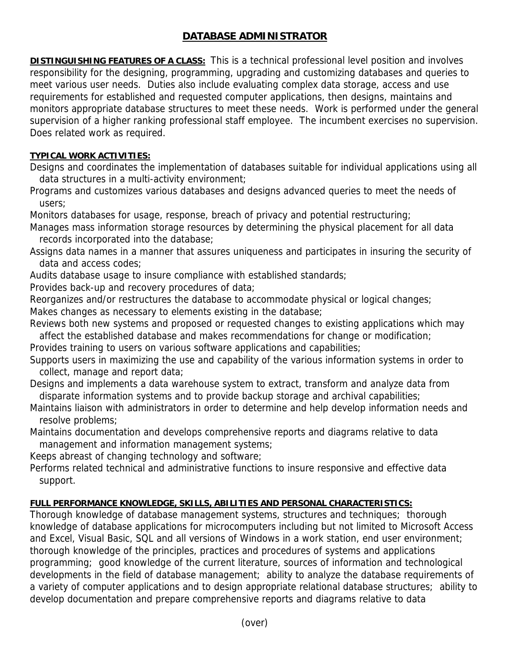## **DATABASE ADMINISTRATOR**

**DISTINGUISHING FEATURES OF A CLASS:** This is a technical professional level position and involves responsibility for the designing, programming, upgrading and customizing databases and queries to meet various user needs. Duties also include evaluating complex data storage, access and use requirements for established and requested computer applications, then designs, maintains and monitors appropriate database structures to meet these needs. Work is performed under the general supervision of a higher ranking professional staff employee. The incumbent exercises no supervision. Does related work as required.

## **TYPICAL WORK ACTIVITIES:**

Designs and coordinates the implementation of databases suitable for individual applications using all data structures in a multi-activity environment;

Programs and customizes various databases and designs advanced queries to meet the needs of users;

Monitors databases for usage, response, breach of privacy and potential restructuring;

Manages mass information storage resources by determining the physical placement for all data records incorporated into the database;

Assigns data names in a manner that assures uniqueness and participates in insuring the security of data and access codes;

Audits database usage to insure compliance with established standards;

Provides back-up and recovery procedures of data;

Reorganizes and/or restructures the database to accommodate physical or logical changes;

Makes changes as necessary to elements existing in the database;

Reviews both new systems and proposed or requested changes to existing applications which may affect the established database and makes recommendations for change or modification;

Provides training to users on various software applications and capabilities;

Supports users in maximizing the use and capability of the various information systems in order to collect, manage and report data;

Designs and implements a data warehouse system to extract, transform and analyze data from disparate information systems and to provide backup storage and archival capabilities;

Maintains liaison with administrators in order to determine and help develop information needs and resolve problems;

Maintains documentation and develops comprehensive reports and diagrams relative to data management and information management systems;

Keeps abreast of changing technology and software;

Performs related technical and administrative functions to insure responsive and effective data support.

## **FULL PERFORMANCE KNOWLEDGE, SKILLS, ABILITIES AND PERSONAL CHARACTERISTICS:**

Thorough knowledge of database management systems, structures and techniques; thorough knowledge of database applications for microcomputers including but not limited to Microsoft Access and Excel, Visual Basic, SQL and all versions of Windows in a work station, end user environment; thorough knowledge of the principles, practices and procedures of systems and applications programming; good knowledge of the current literature, sources of information and technological developments in the field of database management; ability to analyze the database requirements of a variety of computer applications and to design appropriate relational database structures; ability to develop documentation and prepare comprehensive reports and diagrams relative to data